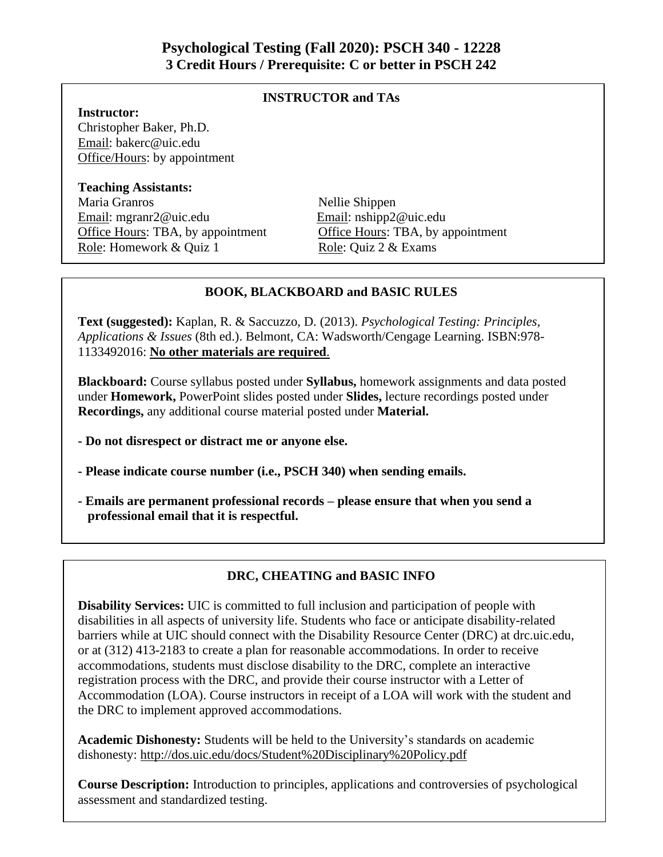# **INSTRUCTOR and TAs**

### **Instructor:**

Christopher Baker, Ph.D. Email: bakerc@uic.edu Office/Hours: by appointment

#### **Teaching Assistants:**

Maria Granros Nellie Shippen Email: mgranr2@uic.edu Email: nshipp2@uic.edu Office Hours: TBA, by appointment Office Hours: TBA, by appointment Role: Homework & Quiz 1 Role: Quiz 2 & Exams

#### **BOOK, BLACKBOARD and BASIC RULES**

**Text (suggested):** Kaplan, R. & Saccuzzo, D. (2013). *Psychological Testing: Principles, Applications & Issues* (8th ed.). Belmont, CA: Wadsworth/Cengage Learning. ISBN:978- 1133492016: **No other materials are required**.

**Blackboard:** Course syllabus posted under **Syllabus,** homework assignments and data posted under **Homework,** PowerPoint slides posted under **Slides,** lecture recordings posted under **Recordings,** any additional course material posted under **Material.** 

- **- Do not disrespect or distract me or anyone else.**
- **- Please indicate course number (i.e., PSCH 340) when sending emails.**
- **- Emails are permanent professional records – please ensure that when you send a professional email that it is respectful.**

# **DRC, CHEATING and BASIC INFO**

**Disability Services:** UIC is committed to full inclusion and participation of people with disabilities in all aspects of university life. Students who face or anticipate disability-related barriers while at UIC should connect with the Disability Resource Center (DRC) at drc.uic.edu, or at (312) 413-2183 to create a plan for reasonable accommodations. In order to receive accommodations, students must disclose disability to the DRC, complete an interactive registration process with the DRC, and provide their course instructor with a Letter of Accommodation (LOA). Course instructors in receipt of a LOA will work with the student and the DRC to implement approved accommodations.

**Academic Dishonesty:** Students will be held to the University's standards on academic dishonesty: http://dos.uic.edu/docs/Student%20Disciplinary%20Policy.pdf

**Course Description:** Introduction to principles, applications and controversies of psychological assessment and standardized testing.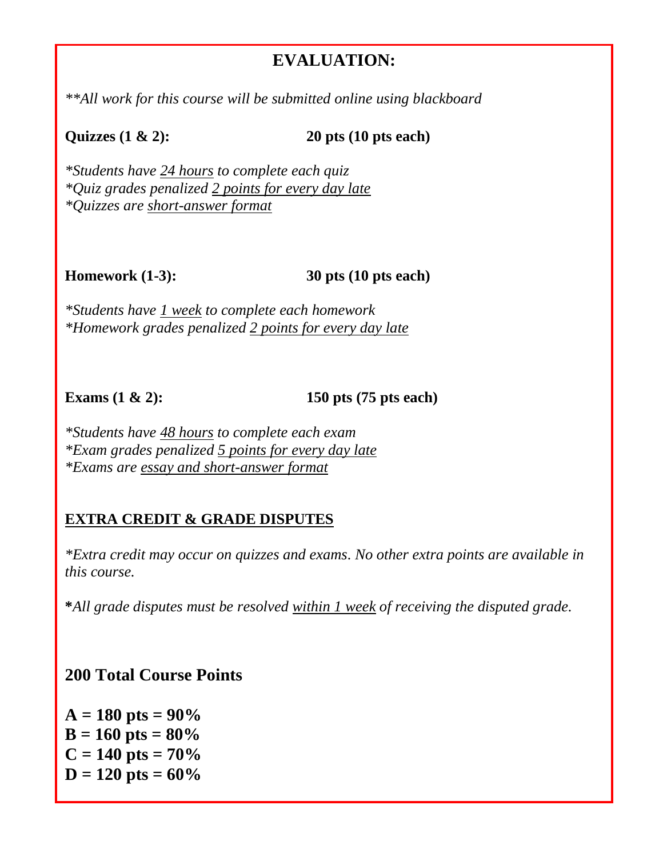# **EVALUATION:**

*\*\*All work for this course will be submitted online using blackboard*

**Quizzes (1 & 2): 20 pts (10 pts each)** 

*\*Students have 24 hours to complete each quiz \*Quiz grades penalized 2 points for every day late \*Quizzes are short-answer format*

**Homework (1-3): 30 pts (10 pts each)** 

*\*Students have 1 week to complete each homework \*Homework grades penalized 2 points for every day late*

**Exams (1 & 2): 150 pts (75 pts each)** 

*\*Students have 48 hours to complete each exam \*Exam grades penalized 5 points for every day late \*Exams are essay and short-answer format*

# **EXTRA CREDIT & GRADE DISPUTES**

*\*Extra credit may occur on quizzes and exams. No other extra points are available in this course.*

**\****All grade disputes must be resolved within 1 week of receiving the disputed grade.*

**200 Total Course Points**

 $A = 180$  pts =  $90\%$  $B = 160$  pts =  $80\%$  $C = 140$  pts =  $70\%$  $D = 120$  pts =  $60\%$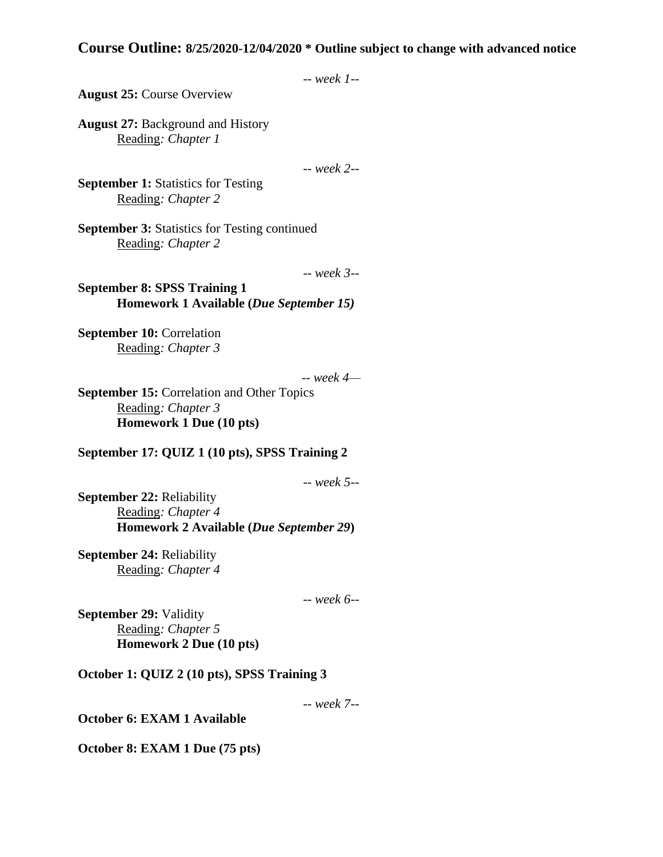## **Course Outline: 8/25/2020-12/04/2020 \* Outline subject to change with advanced notice**

```
-- week 1--
```
**August 25:** Course Overview

**August 27:** Background and History Reading*: Chapter 1*

-- *week 2--*

**September 1:** Statistics for Testing Reading*: Chapter 2* 

**September 3:** Statistics for Testing continued Reading*: Chapter 2*

-- *week 3--*

**September 8: SPSS Training 1 Homework 1 Available (***Due September 15)*

**September 10: Correlation** Reading*: Chapter 3*

-- *week 4—*

**September 15:** Correlation and Other Topics Reading*: Chapter 3*  **Homework 1 Due (10 pts)**

**September 17: QUIZ 1 (10 pts), SPSS Training 2**

-- *week 5--*

**September 22:** Reliability Reading*: Chapter 4* **Homework 2 Available (***Due September 29***)**

**September 24:** Reliability Reading*: Chapter 4* 

-- *week 6--*

**September 29:** Validity Reading*: Chapter 5* **Homework 2 Due (10 pts)**

**October 1: QUIZ 2 (10 pts), SPSS Training 3**

-- *week 7--*

**October 6: EXAM 1 Available**

**October 8: EXAM 1 Due (75 pts)**